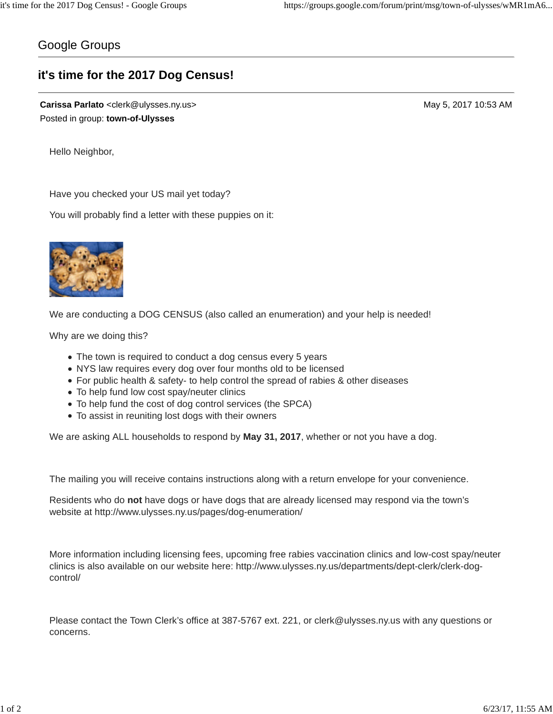## Google Groups

## **it's time for the 2017 Dog Census!**

**Carissa Parlato** <clerk@ulysses.ny.us> May 5, 2017 10:53 AM Posted in group: **town-of-Ulysses**

Hello Neighbor,

Have you checked your US mail yet today?

You will probably find a letter with these puppies on it:



We are conducting a DOG CENSUS (also called an enumeration) and your help is needed!

Why are we doing this?

- The town is required to conduct a dog census every 5 years
- NYS law requires every dog over four months old to be licensed
- For public health & safety- to help control the spread of rabies & other diseases
- To help fund low cost spay/neuter clinics
- To help fund the cost of dog control services (the SPCA)
- To assist in reuniting lost dogs with their owners

We are asking ALL households to respond by **May 31, 2017**, whether or not you have a dog.

The mailing you will receive contains instructions along with a return envelope for your convenience.

Residents who do **not** have dogs or have dogs that are already licensed may respond via the town's website at http://www.ulysses.ny.us/pages/dog-enumeration/

More information including licensing fees, upcoming free rabies vaccination clinics and low-cost spay/neuter clinics is also available on our website here: http://www.ulysses.ny.us/departments/dept-clerk/clerk-dogcontrol/

Please contact the Town Clerk's office at 387-5767 ext. 221, or clerk@ulysses.ny.us with any questions or concerns.